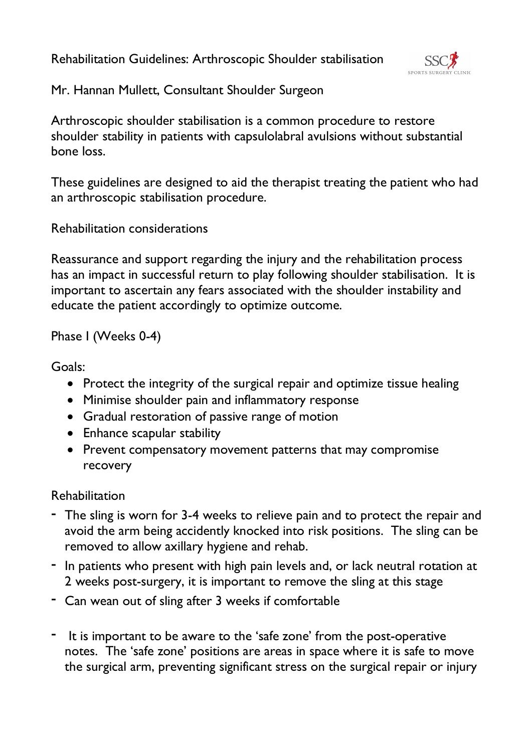Rehabilitation Guidelines: Arthroscopic Shoulder stabilisation



Mr. Hannan Mullett, Consultant Shoulder Surgeon

Arthroscopic shoulder stabilisation is a common procedure to restore shoulder stability in patients with capsulolabral avulsions without substantial bone loss.

These guidelines are designed to aid the therapist treating the patient who had an arthroscopic stabilisation procedure.

Rehabilitation considerations

Reassurance and support regarding the injury and the rehabilitation process has an impact in successful return to play following shoulder stabilisation. It is important to ascertain any fears associated with the shoulder instability and educate the patient accordingly to optimize outcome.

Phase I (Weeks 0-4)

Goals:

- Protect the integrity of the surgical repair and optimize tissue healing
- Minimise shoulder pain and inflammatory response
- Gradual restoration of passive range of motion
- Enhance scapular stability
- Prevent compensatory movement patterns that may compromise recovery

### Rehabilitation

- The sling is worn for 3-4 weeks to relieve pain and to protect the repair and avoid the arm being accidently knocked into risk positions. The sling can be removed to allow axillary hygiene and rehab.
- In patients who present with high pain levels and, or lack neutral rotation at 2 weeks post-surgery, it is important to remove the sling at this stage
- Can wean out of sling after 3 weeks if comfortable
- It is important to be aware to the 'safe zone' from the post-operative notes. The 'safe zone' positions are areas in space where it is safe to move the surgical arm, preventing significant stress on the surgical repair or injury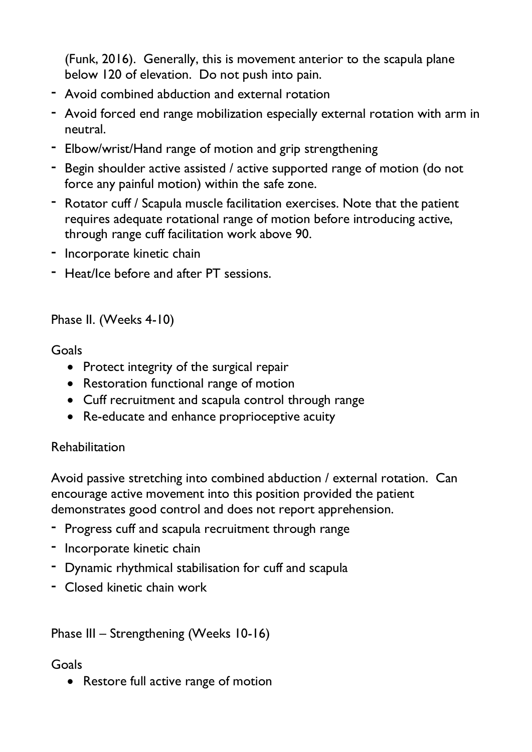(Funk, 2016). Generally, this is movement anterior to the scapula plane below 120 of elevation. Do not push into pain.

- Avoid combined abduction and external rotation
- Avoid forced end range mobilization especially external rotation with arm in neutral.
- Elbow/wrist/Hand range of motion and grip strengthening
- Begin shoulder active assisted / active supported range of motion (do not force any painful motion) within the safe zone.
- Rotator cuff / Scapula muscle facilitation exercises. Note that the patient requires adequate rotational range of motion before introducing active, through range cuff facilitation work above 90.
- Incorporate kinetic chain
- Heat/Ice before and after PT sessions.

## Phase II. (Weeks 4-10)

### Goals

- Protect integrity of the surgical repair
- Restoration functional range of motion
- Cuff recruitment and scapula control through range
- Re-educate and enhance proprioceptive acuity

# Rehabilitation

Avoid passive stretching into combined abduction / external rotation. Can encourage active movement into this position provided the patient demonstrates good control and does not report apprehension.

- Progress cuff and scapula recruitment through range
- Incorporate kinetic chain
- Dynamic rhythmical stabilisation for cuff and scapula
- Closed kinetic chain work

# Phase III – Strengthening (Weeks 10-16)

# Goals

• Restore full active range of motion